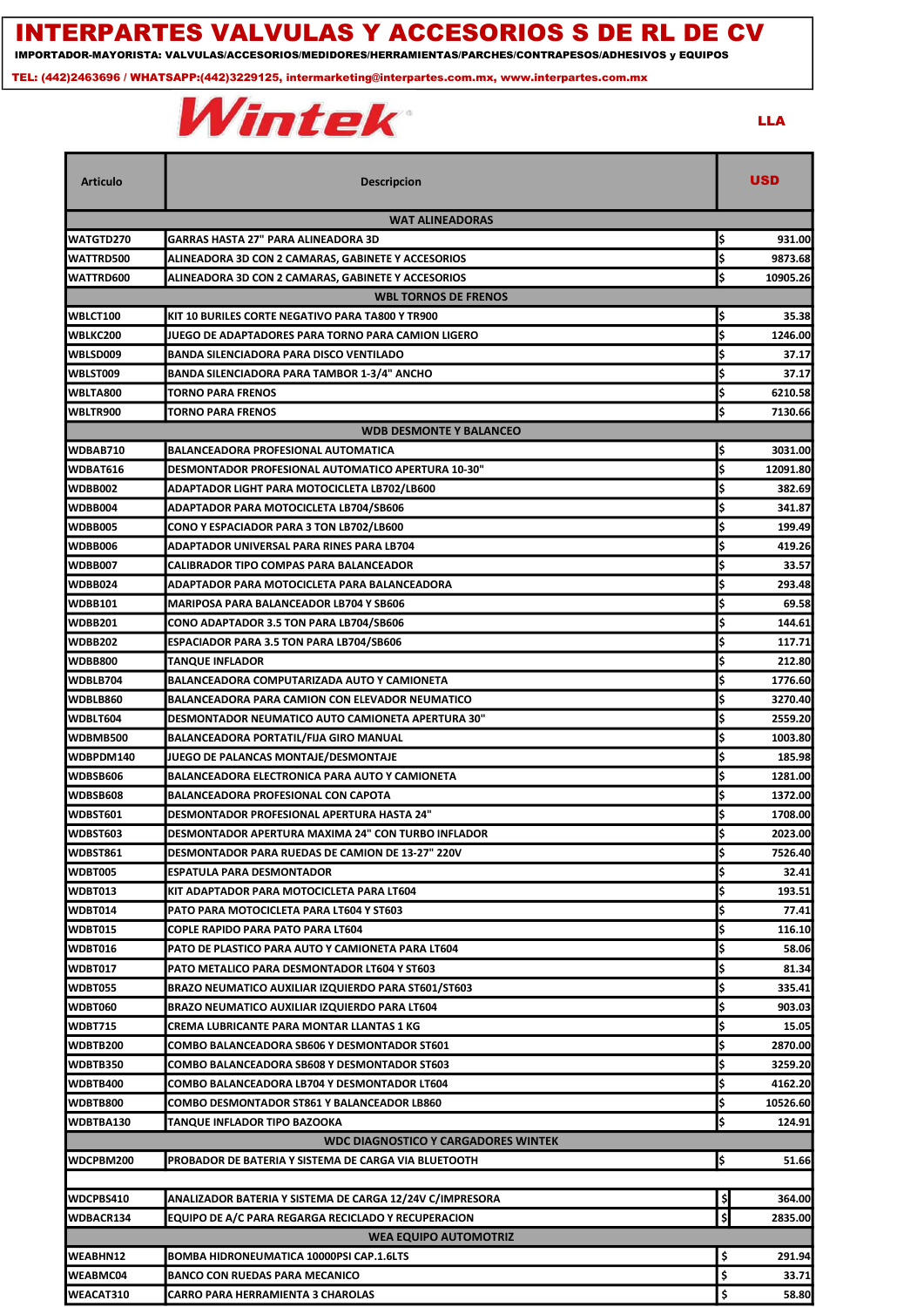## INTERPARTES VALVULAS Y ACCESORIOS S DE RL DE CV

IMPORTADOR-MAYORISTA: VALVULAS/ACCESORIOS/MEDIDORES/HERRAMIENTAS/PARCHES/CONTRAPESOS/ADHESIVOS y EQUIPOS

TEL: (442)2463696 / WHATSAPP:(442)3229125, intermarketing@interpartes.com.mx, www.interpartes.com.mx



LLA

| <b>WAT ALINEADORAS</b><br>GARRAS HASTA 27" PARA ALINEADORA 3D<br>ļ\$<br>931.00<br>ļ\$<br>9873.68<br>ALINEADORA 3D CON 2 CAMARAS, GABINETE Y ACCESORIOS<br>l\$<br>10905.26<br>ALINEADORA 3D CON 2 CAMARAS, GABINETE Y ACCESORIOS<br><b>WBL TORNOS DE FRENOS</b><br>l\$<br>KIT 10 BURILES CORTE NEGATIVO PARA TA800 Y TR900<br>35.38<br>İ\$<br>WBLKC200<br>JUEGO DE ADAPTADORES PARA TORNO PARA CAMION LIGERO<br>1246.00<br>l\$<br>WBLSD009<br>BANDA SILENCIADORA PARA DISCO VENTILADO<br>37.17<br>Ś<br>WBLST009<br>BANDA SILENCIADORA PARA TAMBOR 1-3/4" ANCHO<br>37.17<br>l\$<br>WBLTA800<br><b>TORNO PARA FRENOS</b><br>6210.58<br>Ś<br>WBLTR900<br>TORNO PARA FRENOS<br>7130.66<br><b>WDB DESMONTE Y BALANCEO</b><br>I\$<br>WDBAB710<br>BALANCEADORA PROFESIONAL AUTOMATICA<br>3031.00<br>\$<br><b>DESMONTADOR PROFESIONAL AUTOMATICO APERTURA 10-30"</b><br>12091.80<br>WDBAT616<br>I\$<br>WDBB002<br>382.69<br>ADAPTADOR LIGHT PARA MOTOCICLETA LB702/LB600<br>I\$<br>WDBB004<br>ADAPTADOR PARA MOTOCICLETA LB704/SB606<br>341.87<br>WDBB005<br>199.49<br>CONO Y ESPACIADOR PARA 3 TON LB702/LB600<br>\$<br>WDBB006<br>I\$<br>419.26<br>ADAPTADOR UNIVERSAL PARA RINES PARA LB704<br><b>WDBB007</b><br>\$<br>33.57<br>CALIBRADOR TIPO COMPAS PARA BALANCEADOR<br><b>WDBB024</b><br>I\$<br>293.48<br>ADAPTADOR PARA MOTOCICLETA PARA BALANCEADORA<br><b>WDBB101</b><br>69.58<br><b>MARIPOSA PARA BALANCEADOR LB704 Y SB606</b><br><b>WDBB201</b><br>Ś<br>CONO ADAPTADOR 3.5 TON PARA LB704/SB606<br>144.61<br><b>WDBB202</b><br>Ś<br>ESPACIADOR PARA 3.5 TON PARA LB704/SB606<br>117.71<br>İ\$<br><b>WDBB800</b><br>TANQUE INFLADOR<br>212.80<br>WDBLB704<br>I\$<br>BALANCEADORA COMPUTARIZADA AUTO Y CAMIONETA<br>1776.60<br>WDBLB860<br>Ś<br>3270.40<br>BALANCEADORA PARA CAMION CON ELEVADOR NEUMATICO<br>Ś<br>DESMONTADOR NEUMATICO AUTO CAMIONETA APERTURA 30"<br>2559.20<br>BALANCEADORA PORTATIL/FIJA GIRO MANUAL<br>1003.80<br>I\$<br>185.98<br>JUEGO DE PALANCAS MONTAJE/DESMONTAJE<br>1281.00<br>BALANCEADORA ELECTRONICA PARA AUTO Y CAMIONETA<br><b>BALANCEADORA PROFESIONAL CON CAPOTA</b><br>1372.00<br>l\$<br>1708.00<br>DESMONTADOR PROFESIONAL APERTURA HASTA 24"<br>DESMONTADOR APERTURA MAXIMA 24" CON TURBO INFLADOR<br>I\$<br>2023.00<br>lś<br>7526.40<br><b>DESMONTADOR PARA RUEDAS DE CAMION DE 13-27" 220V</b><br>¦\$<br>ESPATULA PARA DESMONTADOR<br>32.41<br>¦\$<br>193.51<br>KIT ADAPTADOR PARA MOTOCICLETA PARA LT604<br>l\$<br>77.41<br>PATO PARA MOTOCICLETA PARA LT604 Y ST603<br>\$<br>COPLE RAPIDO PARA PATO PARA LT604<br>116.10<br>I\$<br>PATO DE PLASTICO PARA AUTO Y CAMIONETA PARA LT604<br>58.06<br>I\$<br>PATO METALICO PARA DESMONTADOR LT604 Y ST603<br>81.34<br>l\$<br>BRAZO NEUMATICO AUXILIAR IZQUIERDO PARA ST601/ST603<br>335.41<br>l\$<br>BRAZO NEUMATICO AUXILIAR IZQUIERDO PARA LT604<br>903.03<br>l\$<br>CREMA LUBRICANTE PARA MONTAR LLANTAS 1 KG<br>15.05<br>\$<br>COMBO BALANCEADORA SB606 Y DESMONTADOR ST601<br>2870.00<br>I\$<br>COMBO BALANCEADORA SB608 Y DESMONTADOR ST603<br>3259.20<br>COMBO BALANCEADORA LB704 Y DESMONTADOR LT604<br>4162.20<br>l\$<br>10526.60<br>COMBO DESMONTADOR ST861 Y BALANCEADOR LB860<br>\$<br>TANQUE INFLADOR TIPO BAZOOKA<br>124.91<br>WDC DIAGNOSTICO Y CARGADORES WINTEK<br>ļ\$<br>PROBADOR DE BATERIA Y SISTEMA DE CARGA VIA BLUETOOTH<br>51.66<br>\$<br>WDCPBS410<br>ANALIZADOR BATERIA Y SISTEMA DE CARGA 12/24V C/IMPRESORA<br>364.00<br>\$<br>WDBACR134<br>EQUIPO DE A/C PARA REGARGA RECICLADO Y RECUPERACION<br>2835.00<br><b>WEA EQUIPO AUTOMOTRIZ</b><br>WEABHN12<br>\$<br><b>BOMBA HIDRONEUMATICA 10000PSI CAP.1.6LTS</b><br>291.94<br>WEABMC04<br>\$<br><b>BANCO CON RUEDAS PARA MECANICO</b><br>33.71 | Articulo        | <b>Descripcion</b>                       | <b>USD</b>  |  |  |  |  |
|-------------------------------------------------------------------------------------------------------------------------------------------------------------------------------------------------------------------------------------------------------------------------------------------------------------------------------------------------------------------------------------------------------------------------------------------------------------------------------------------------------------------------------------------------------------------------------------------------------------------------------------------------------------------------------------------------------------------------------------------------------------------------------------------------------------------------------------------------------------------------------------------------------------------------------------------------------------------------------------------------------------------------------------------------------------------------------------------------------------------------------------------------------------------------------------------------------------------------------------------------------------------------------------------------------------------------------------------------------------------------------------------------------------------------------------------------------------------------------------------------------------------------------------------------------------------------------------------------------------------------------------------------------------------------------------------------------------------------------------------------------------------------------------------------------------------------------------------------------------------------------------------------------------------------------------------------------------------------------------------------------------------------------------------------------------------------------------------------------------------------------------------------------------------------------------------------------------------------------------------------------------------------------------------------------------------------------------------------------------------------------------------------------------------------------------------------------------------------------------------------------------------------------------------------------------------------------------------------------------------------------------------------------------------------------------------------------------------------------------------------------------------------------------------------------------------------------------------------------------------------------------------------------------------------------------------------------------------------------------------------------------------------------------------------------------------------------------------------------------------------------------------------------------------------------------------------------------------------------------------------------------------------------------------------------------------------------------------------------------------------------------------------------------------------------------------------------------------------------------------------------------------------------------------------------------------------------------------------------------------------------------------------------------------------------------------------------------------|-----------------|------------------------------------------|-------------|--|--|--|--|
|                                                                                                                                                                                                                                                                                                                                                                                                                                                                                                                                                                                                                                                                                                                                                                                                                                                                                                                                                                                                                                                                                                                                                                                                                                                                                                                                                                                                                                                                                                                                                                                                                                                                                                                                                                                                                                                                                                                                                                                                                                                                                                                                                                                                                                                                                                                                                                                                                                                                                                                                                                                                                                                                                                                                                                                                                                                                                                                                                                                                                                                                                                                                                                                                                                                                                                                                                                                                                                                                                                                                                                                                                                                                                                                   |                 |                                          |             |  |  |  |  |
|                                                                                                                                                                                                                                                                                                                                                                                                                                                                                                                                                                                                                                                                                                                                                                                                                                                                                                                                                                                                                                                                                                                                                                                                                                                                                                                                                                                                                                                                                                                                                                                                                                                                                                                                                                                                                                                                                                                                                                                                                                                                                                                                                                                                                                                                                                                                                                                                                                                                                                                                                                                                                                                                                                                                                                                                                                                                                                                                                                                                                                                                                                                                                                                                                                                                                                                                                                                                                                                                                                                                                                                                                                                                                                                   | WATGTD270       |                                          |             |  |  |  |  |
|                                                                                                                                                                                                                                                                                                                                                                                                                                                                                                                                                                                                                                                                                                                                                                                                                                                                                                                                                                                                                                                                                                                                                                                                                                                                                                                                                                                                                                                                                                                                                                                                                                                                                                                                                                                                                                                                                                                                                                                                                                                                                                                                                                                                                                                                                                                                                                                                                                                                                                                                                                                                                                                                                                                                                                                                                                                                                                                                                                                                                                                                                                                                                                                                                                                                                                                                                                                                                                                                                                                                                                                                                                                                                                                   | WATTRD500       |                                          |             |  |  |  |  |
|                                                                                                                                                                                                                                                                                                                                                                                                                                                                                                                                                                                                                                                                                                                                                                                                                                                                                                                                                                                                                                                                                                                                                                                                                                                                                                                                                                                                                                                                                                                                                                                                                                                                                                                                                                                                                                                                                                                                                                                                                                                                                                                                                                                                                                                                                                                                                                                                                                                                                                                                                                                                                                                                                                                                                                                                                                                                                                                                                                                                                                                                                                                                                                                                                                                                                                                                                                                                                                                                                                                                                                                                                                                                                                                   | WATTRD600       |                                          |             |  |  |  |  |
|                                                                                                                                                                                                                                                                                                                                                                                                                                                                                                                                                                                                                                                                                                                                                                                                                                                                                                                                                                                                                                                                                                                                                                                                                                                                                                                                                                                                                                                                                                                                                                                                                                                                                                                                                                                                                                                                                                                                                                                                                                                                                                                                                                                                                                                                                                                                                                                                                                                                                                                                                                                                                                                                                                                                                                                                                                                                                                                                                                                                                                                                                                                                                                                                                                                                                                                                                                                                                                                                                                                                                                                                                                                                                                                   |                 |                                          |             |  |  |  |  |
|                                                                                                                                                                                                                                                                                                                                                                                                                                                                                                                                                                                                                                                                                                                                                                                                                                                                                                                                                                                                                                                                                                                                                                                                                                                                                                                                                                                                                                                                                                                                                                                                                                                                                                                                                                                                                                                                                                                                                                                                                                                                                                                                                                                                                                                                                                                                                                                                                                                                                                                                                                                                                                                                                                                                                                                                                                                                                                                                                                                                                                                                                                                                                                                                                                                                                                                                                                                                                                                                                                                                                                                                                                                                                                                   | WBLCT100        |                                          |             |  |  |  |  |
|                                                                                                                                                                                                                                                                                                                                                                                                                                                                                                                                                                                                                                                                                                                                                                                                                                                                                                                                                                                                                                                                                                                                                                                                                                                                                                                                                                                                                                                                                                                                                                                                                                                                                                                                                                                                                                                                                                                                                                                                                                                                                                                                                                                                                                                                                                                                                                                                                                                                                                                                                                                                                                                                                                                                                                                                                                                                                                                                                                                                                                                                                                                                                                                                                                                                                                                                                                                                                                                                                                                                                                                                                                                                                                                   |                 |                                          |             |  |  |  |  |
|                                                                                                                                                                                                                                                                                                                                                                                                                                                                                                                                                                                                                                                                                                                                                                                                                                                                                                                                                                                                                                                                                                                                                                                                                                                                                                                                                                                                                                                                                                                                                                                                                                                                                                                                                                                                                                                                                                                                                                                                                                                                                                                                                                                                                                                                                                                                                                                                                                                                                                                                                                                                                                                                                                                                                                                                                                                                                                                                                                                                                                                                                                                                                                                                                                                                                                                                                                                                                                                                                                                                                                                                                                                                                                                   |                 |                                          |             |  |  |  |  |
|                                                                                                                                                                                                                                                                                                                                                                                                                                                                                                                                                                                                                                                                                                                                                                                                                                                                                                                                                                                                                                                                                                                                                                                                                                                                                                                                                                                                                                                                                                                                                                                                                                                                                                                                                                                                                                                                                                                                                                                                                                                                                                                                                                                                                                                                                                                                                                                                                                                                                                                                                                                                                                                                                                                                                                                                                                                                                                                                                                                                                                                                                                                                                                                                                                                                                                                                                                                                                                                                                                                                                                                                                                                                                                                   |                 |                                          |             |  |  |  |  |
|                                                                                                                                                                                                                                                                                                                                                                                                                                                                                                                                                                                                                                                                                                                                                                                                                                                                                                                                                                                                                                                                                                                                                                                                                                                                                                                                                                                                                                                                                                                                                                                                                                                                                                                                                                                                                                                                                                                                                                                                                                                                                                                                                                                                                                                                                                                                                                                                                                                                                                                                                                                                                                                                                                                                                                                                                                                                                                                                                                                                                                                                                                                                                                                                                                                                                                                                                                                                                                                                                                                                                                                                                                                                                                                   |                 |                                          |             |  |  |  |  |
|                                                                                                                                                                                                                                                                                                                                                                                                                                                                                                                                                                                                                                                                                                                                                                                                                                                                                                                                                                                                                                                                                                                                                                                                                                                                                                                                                                                                                                                                                                                                                                                                                                                                                                                                                                                                                                                                                                                                                                                                                                                                                                                                                                                                                                                                                                                                                                                                                                                                                                                                                                                                                                                                                                                                                                                                                                                                                                                                                                                                                                                                                                                                                                                                                                                                                                                                                                                                                                                                                                                                                                                                                                                                                                                   |                 |                                          |             |  |  |  |  |
|                                                                                                                                                                                                                                                                                                                                                                                                                                                                                                                                                                                                                                                                                                                                                                                                                                                                                                                                                                                                                                                                                                                                                                                                                                                                                                                                                                                                                                                                                                                                                                                                                                                                                                                                                                                                                                                                                                                                                                                                                                                                                                                                                                                                                                                                                                                                                                                                                                                                                                                                                                                                                                                                                                                                                                                                                                                                                                                                                                                                                                                                                                                                                                                                                                                                                                                                                                                                                                                                                                                                                                                                                                                                                                                   |                 |                                          |             |  |  |  |  |
|                                                                                                                                                                                                                                                                                                                                                                                                                                                                                                                                                                                                                                                                                                                                                                                                                                                                                                                                                                                                                                                                                                                                                                                                                                                                                                                                                                                                                                                                                                                                                                                                                                                                                                                                                                                                                                                                                                                                                                                                                                                                                                                                                                                                                                                                                                                                                                                                                                                                                                                                                                                                                                                                                                                                                                                                                                                                                                                                                                                                                                                                                                                                                                                                                                                                                                                                                                                                                                                                                                                                                                                                                                                                                                                   |                 |                                          |             |  |  |  |  |
|                                                                                                                                                                                                                                                                                                                                                                                                                                                                                                                                                                                                                                                                                                                                                                                                                                                                                                                                                                                                                                                                                                                                                                                                                                                                                                                                                                                                                                                                                                                                                                                                                                                                                                                                                                                                                                                                                                                                                                                                                                                                                                                                                                                                                                                                                                                                                                                                                                                                                                                                                                                                                                                                                                                                                                                                                                                                                                                                                                                                                                                                                                                                                                                                                                                                                                                                                                                                                                                                                                                                                                                                                                                                                                                   |                 |                                          |             |  |  |  |  |
|                                                                                                                                                                                                                                                                                                                                                                                                                                                                                                                                                                                                                                                                                                                                                                                                                                                                                                                                                                                                                                                                                                                                                                                                                                                                                                                                                                                                                                                                                                                                                                                                                                                                                                                                                                                                                                                                                                                                                                                                                                                                                                                                                                                                                                                                                                                                                                                                                                                                                                                                                                                                                                                                                                                                                                                                                                                                                                                                                                                                                                                                                                                                                                                                                                                                                                                                                                                                                                                                                                                                                                                                                                                                                                                   |                 |                                          |             |  |  |  |  |
|                                                                                                                                                                                                                                                                                                                                                                                                                                                                                                                                                                                                                                                                                                                                                                                                                                                                                                                                                                                                                                                                                                                                                                                                                                                                                                                                                                                                                                                                                                                                                                                                                                                                                                                                                                                                                                                                                                                                                                                                                                                                                                                                                                                                                                                                                                                                                                                                                                                                                                                                                                                                                                                                                                                                                                                                                                                                                                                                                                                                                                                                                                                                                                                                                                                                                                                                                                                                                                                                                                                                                                                                                                                                                                                   |                 |                                          |             |  |  |  |  |
|                                                                                                                                                                                                                                                                                                                                                                                                                                                                                                                                                                                                                                                                                                                                                                                                                                                                                                                                                                                                                                                                                                                                                                                                                                                                                                                                                                                                                                                                                                                                                                                                                                                                                                                                                                                                                                                                                                                                                                                                                                                                                                                                                                                                                                                                                                                                                                                                                                                                                                                                                                                                                                                                                                                                                                                                                                                                                                                                                                                                                                                                                                                                                                                                                                                                                                                                                                                                                                                                                                                                                                                                                                                                                                                   |                 |                                          |             |  |  |  |  |
|                                                                                                                                                                                                                                                                                                                                                                                                                                                                                                                                                                                                                                                                                                                                                                                                                                                                                                                                                                                                                                                                                                                                                                                                                                                                                                                                                                                                                                                                                                                                                                                                                                                                                                                                                                                                                                                                                                                                                                                                                                                                                                                                                                                                                                                                                                                                                                                                                                                                                                                                                                                                                                                                                                                                                                                                                                                                                                                                                                                                                                                                                                                                                                                                                                                                                                                                                                                                                                                                                                                                                                                                                                                                                                                   |                 |                                          |             |  |  |  |  |
|                                                                                                                                                                                                                                                                                                                                                                                                                                                                                                                                                                                                                                                                                                                                                                                                                                                                                                                                                                                                                                                                                                                                                                                                                                                                                                                                                                                                                                                                                                                                                                                                                                                                                                                                                                                                                                                                                                                                                                                                                                                                                                                                                                                                                                                                                                                                                                                                                                                                                                                                                                                                                                                                                                                                                                                                                                                                                                                                                                                                                                                                                                                                                                                                                                                                                                                                                                                                                                                                                                                                                                                                                                                                                                                   |                 |                                          |             |  |  |  |  |
|                                                                                                                                                                                                                                                                                                                                                                                                                                                                                                                                                                                                                                                                                                                                                                                                                                                                                                                                                                                                                                                                                                                                                                                                                                                                                                                                                                                                                                                                                                                                                                                                                                                                                                                                                                                                                                                                                                                                                                                                                                                                                                                                                                                                                                                                                                                                                                                                                                                                                                                                                                                                                                                                                                                                                                                                                                                                                                                                                                                                                                                                                                                                                                                                                                                                                                                                                                                                                                                                                                                                                                                                                                                                                                                   |                 |                                          |             |  |  |  |  |
|                                                                                                                                                                                                                                                                                                                                                                                                                                                                                                                                                                                                                                                                                                                                                                                                                                                                                                                                                                                                                                                                                                                                                                                                                                                                                                                                                                                                                                                                                                                                                                                                                                                                                                                                                                                                                                                                                                                                                                                                                                                                                                                                                                                                                                                                                                                                                                                                                                                                                                                                                                                                                                                                                                                                                                                                                                                                                                                                                                                                                                                                                                                                                                                                                                                                                                                                                                                                                                                                                                                                                                                                                                                                                                                   |                 |                                          |             |  |  |  |  |
|                                                                                                                                                                                                                                                                                                                                                                                                                                                                                                                                                                                                                                                                                                                                                                                                                                                                                                                                                                                                                                                                                                                                                                                                                                                                                                                                                                                                                                                                                                                                                                                                                                                                                                                                                                                                                                                                                                                                                                                                                                                                                                                                                                                                                                                                                                                                                                                                                                                                                                                                                                                                                                                                                                                                                                                                                                                                                                                                                                                                                                                                                                                                                                                                                                                                                                                                                                                                                                                                                                                                                                                                                                                                                                                   |                 |                                          |             |  |  |  |  |
|                                                                                                                                                                                                                                                                                                                                                                                                                                                                                                                                                                                                                                                                                                                                                                                                                                                                                                                                                                                                                                                                                                                                                                                                                                                                                                                                                                                                                                                                                                                                                                                                                                                                                                                                                                                                                                                                                                                                                                                                                                                                                                                                                                                                                                                                                                                                                                                                                                                                                                                                                                                                                                                                                                                                                                                                                                                                                                                                                                                                                                                                                                                                                                                                                                                                                                                                                                                                                                                                                                                                                                                                                                                                                                                   |                 |                                          |             |  |  |  |  |
|                                                                                                                                                                                                                                                                                                                                                                                                                                                                                                                                                                                                                                                                                                                                                                                                                                                                                                                                                                                                                                                                                                                                                                                                                                                                                                                                                                                                                                                                                                                                                                                                                                                                                                                                                                                                                                                                                                                                                                                                                                                                                                                                                                                                                                                                                                                                                                                                                                                                                                                                                                                                                                                                                                                                                                                                                                                                                                                                                                                                                                                                                                                                                                                                                                                                                                                                                                                                                                                                                                                                                                                                                                                                                                                   |                 |                                          |             |  |  |  |  |
|                                                                                                                                                                                                                                                                                                                                                                                                                                                                                                                                                                                                                                                                                                                                                                                                                                                                                                                                                                                                                                                                                                                                                                                                                                                                                                                                                                                                                                                                                                                                                                                                                                                                                                                                                                                                                                                                                                                                                                                                                                                                                                                                                                                                                                                                                                                                                                                                                                                                                                                                                                                                                                                                                                                                                                                                                                                                                                                                                                                                                                                                                                                                                                                                                                                                                                                                                                                                                                                                                                                                                                                                                                                                                                                   |                 |                                          |             |  |  |  |  |
|                                                                                                                                                                                                                                                                                                                                                                                                                                                                                                                                                                                                                                                                                                                                                                                                                                                                                                                                                                                                                                                                                                                                                                                                                                                                                                                                                                                                                                                                                                                                                                                                                                                                                                                                                                                                                                                                                                                                                                                                                                                                                                                                                                                                                                                                                                                                                                                                                                                                                                                                                                                                                                                                                                                                                                                                                                                                                                                                                                                                                                                                                                                                                                                                                                                                                                                                                                                                                                                                                                                                                                                                                                                                                                                   | WDBLT604        |                                          |             |  |  |  |  |
|                                                                                                                                                                                                                                                                                                                                                                                                                                                                                                                                                                                                                                                                                                                                                                                                                                                                                                                                                                                                                                                                                                                                                                                                                                                                                                                                                                                                                                                                                                                                                                                                                                                                                                                                                                                                                                                                                                                                                                                                                                                                                                                                                                                                                                                                                                                                                                                                                                                                                                                                                                                                                                                                                                                                                                                                                                                                                                                                                                                                                                                                                                                                                                                                                                                                                                                                                                                                                                                                                                                                                                                                                                                                                                                   | WDBMB500        |                                          |             |  |  |  |  |
|                                                                                                                                                                                                                                                                                                                                                                                                                                                                                                                                                                                                                                                                                                                                                                                                                                                                                                                                                                                                                                                                                                                                                                                                                                                                                                                                                                                                                                                                                                                                                                                                                                                                                                                                                                                                                                                                                                                                                                                                                                                                                                                                                                                                                                                                                                                                                                                                                                                                                                                                                                                                                                                                                                                                                                                                                                                                                                                                                                                                                                                                                                                                                                                                                                                                                                                                                                                                                                                                                                                                                                                                                                                                                                                   | WDBPDM140       |                                          |             |  |  |  |  |
|                                                                                                                                                                                                                                                                                                                                                                                                                                                                                                                                                                                                                                                                                                                                                                                                                                                                                                                                                                                                                                                                                                                                                                                                                                                                                                                                                                                                                                                                                                                                                                                                                                                                                                                                                                                                                                                                                                                                                                                                                                                                                                                                                                                                                                                                                                                                                                                                                                                                                                                                                                                                                                                                                                                                                                                                                                                                                                                                                                                                                                                                                                                                                                                                                                                                                                                                                                                                                                                                                                                                                                                                                                                                                                                   | WDBSB606        |                                          |             |  |  |  |  |
|                                                                                                                                                                                                                                                                                                                                                                                                                                                                                                                                                                                                                                                                                                                                                                                                                                                                                                                                                                                                                                                                                                                                                                                                                                                                                                                                                                                                                                                                                                                                                                                                                                                                                                                                                                                                                                                                                                                                                                                                                                                                                                                                                                                                                                                                                                                                                                                                                                                                                                                                                                                                                                                                                                                                                                                                                                                                                                                                                                                                                                                                                                                                                                                                                                                                                                                                                                                                                                                                                                                                                                                                                                                                                                                   | WDBSB608        |                                          |             |  |  |  |  |
|                                                                                                                                                                                                                                                                                                                                                                                                                                                                                                                                                                                                                                                                                                                                                                                                                                                                                                                                                                                                                                                                                                                                                                                                                                                                                                                                                                                                                                                                                                                                                                                                                                                                                                                                                                                                                                                                                                                                                                                                                                                                                                                                                                                                                                                                                                                                                                                                                                                                                                                                                                                                                                                                                                                                                                                                                                                                                                                                                                                                                                                                                                                                                                                                                                                                                                                                                                                                                                                                                                                                                                                                                                                                                                                   | WDBST601        |                                          |             |  |  |  |  |
|                                                                                                                                                                                                                                                                                                                                                                                                                                                                                                                                                                                                                                                                                                                                                                                                                                                                                                                                                                                                                                                                                                                                                                                                                                                                                                                                                                                                                                                                                                                                                                                                                                                                                                                                                                                                                                                                                                                                                                                                                                                                                                                                                                                                                                                                                                                                                                                                                                                                                                                                                                                                                                                                                                                                                                                                                                                                                                                                                                                                                                                                                                                                                                                                                                                                                                                                                                                                                                                                                                                                                                                                                                                                                                                   | <b>WDBST603</b> |                                          |             |  |  |  |  |
|                                                                                                                                                                                                                                                                                                                                                                                                                                                                                                                                                                                                                                                                                                                                                                                                                                                                                                                                                                                                                                                                                                                                                                                                                                                                                                                                                                                                                                                                                                                                                                                                                                                                                                                                                                                                                                                                                                                                                                                                                                                                                                                                                                                                                                                                                                                                                                                                                                                                                                                                                                                                                                                                                                                                                                                                                                                                                                                                                                                                                                                                                                                                                                                                                                                                                                                                                                                                                                                                                                                                                                                                                                                                                                                   | WDBST861        |                                          |             |  |  |  |  |
|                                                                                                                                                                                                                                                                                                                                                                                                                                                                                                                                                                                                                                                                                                                                                                                                                                                                                                                                                                                                                                                                                                                                                                                                                                                                                                                                                                                                                                                                                                                                                                                                                                                                                                                                                                                                                                                                                                                                                                                                                                                                                                                                                                                                                                                                                                                                                                                                                                                                                                                                                                                                                                                                                                                                                                                                                                                                                                                                                                                                                                                                                                                                                                                                                                                                                                                                                                                                                                                                                                                                                                                                                                                                                                                   | WDBT005         |                                          |             |  |  |  |  |
|                                                                                                                                                                                                                                                                                                                                                                                                                                                                                                                                                                                                                                                                                                                                                                                                                                                                                                                                                                                                                                                                                                                                                                                                                                                                                                                                                                                                                                                                                                                                                                                                                                                                                                                                                                                                                                                                                                                                                                                                                                                                                                                                                                                                                                                                                                                                                                                                                                                                                                                                                                                                                                                                                                                                                                                                                                                                                                                                                                                                                                                                                                                                                                                                                                                                                                                                                                                                                                                                                                                                                                                                                                                                                                                   | WDBT013         |                                          |             |  |  |  |  |
|                                                                                                                                                                                                                                                                                                                                                                                                                                                                                                                                                                                                                                                                                                                                                                                                                                                                                                                                                                                                                                                                                                                                                                                                                                                                                                                                                                                                                                                                                                                                                                                                                                                                                                                                                                                                                                                                                                                                                                                                                                                                                                                                                                                                                                                                                                                                                                                                                                                                                                                                                                                                                                                                                                                                                                                                                                                                                                                                                                                                                                                                                                                                                                                                                                                                                                                                                                                                                                                                                                                                                                                                                                                                                                                   | <b>WDBT014</b>  |                                          |             |  |  |  |  |
|                                                                                                                                                                                                                                                                                                                                                                                                                                                                                                                                                                                                                                                                                                                                                                                                                                                                                                                                                                                                                                                                                                                                                                                                                                                                                                                                                                                                                                                                                                                                                                                                                                                                                                                                                                                                                                                                                                                                                                                                                                                                                                                                                                                                                                                                                                                                                                                                                                                                                                                                                                                                                                                                                                                                                                                                                                                                                                                                                                                                                                                                                                                                                                                                                                                                                                                                                                                                                                                                                                                                                                                                                                                                                                                   | WDBT015         |                                          |             |  |  |  |  |
|                                                                                                                                                                                                                                                                                                                                                                                                                                                                                                                                                                                                                                                                                                                                                                                                                                                                                                                                                                                                                                                                                                                                                                                                                                                                                                                                                                                                                                                                                                                                                                                                                                                                                                                                                                                                                                                                                                                                                                                                                                                                                                                                                                                                                                                                                                                                                                                                                                                                                                                                                                                                                                                                                                                                                                                                                                                                                                                                                                                                                                                                                                                                                                                                                                                                                                                                                                                                                                                                                                                                                                                                                                                                                                                   | <b>WDBT016</b>  |                                          |             |  |  |  |  |
|                                                                                                                                                                                                                                                                                                                                                                                                                                                                                                                                                                                                                                                                                                                                                                                                                                                                                                                                                                                                                                                                                                                                                                                                                                                                                                                                                                                                                                                                                                                                                                                                                                                                                                                                                                                                                                                                                                                                                                                                                                                                                                                                                                                                                                                                                                                                                                                                                                                                                                                                                                                                                                                                                                                                                                                                                                                                                                                                                                                                                                                                                                                                                                                                                                                                                                                                                                                                                                                                                                                                                                                                                                                                                                                   | WDBT017         |                                          |             |  |  |  |  |
|                                                                                                                                                                                                                                                                                                                                                                                                                                                                                                                                                                                                                                                                                                                                                                                                                                                                                                                                                                                                                                                                                                                                                                                                                                                                                                                                                                                                                                                                                                                                                                                                                                                                                                                                                                                                                                                                                                                                                                                                                                                                                                                                                                                                                                                                                                                                                                                                                                                                                                                                                                                                                                                                                                                                                                                                                                                                                                                                                                                                                                                                                                                                                                                                                                                                                                                                                                                                                                                                                                                                                                                                                                                                                                                   | WDBT055         |                                          |             |  |  |  |  |
|                                                                                                                                                                                                                                                                                                                                                                                                                                                                                                                                                                                                                                                                                                                                                                                                                                                                                                                                                                                                                                                                                                                                                                                                                                                                                                                                                                                                                                                                                                                                                                                                                                                                                                                                                                                                                                                                                                                                                                                                                                                                                                                                                                                                                                                                                                                                                                                                                                                                                                                                                                                                                                                                                                                                                                                                                                                                                                                                                                                                                                                                                                                                                                                                                                                                                                                                                                                                                                                                                                                                                                                                                                                                                                                   | WDBT060         |                                          |             |  |  |  |  |
|                                                                                                                                                                                                                                                                                                                                                                                                                                                                                                                                                                                                                                                                                                                                                                                                                                                                                                                                                                                                                                                                                                                                                                                                                                                                                                                                                                                                                                                                                                                                                                                                                                                                                                                                                                                                                                                                                                                                                                                                                                                                                                                                                                                                                                                                                                                                                                                                                                                                                                                                                                                                                                                                                                                                                                                                                                                                                                                                                                                                                                                                                                                                                                                                                                                                                                                                                                                                                                                                                                                                                                                                                                                                                                                   | <b>WDBT715</b>  |                                          |             |  |  |  |  |
|                                                                                                                                                                                                                                                                                                                                                                                                                                                                                                                                                                                                                                                                                                                                                                                                                                                                                                                                                                                                                                                                                                                                                                                                                                                                                                                                                                                                                                                                                                                                                                                                                                                                                                                                                                                                                                                                                                                                                                                                                                                                                                                                                                                                                                                                                                                                                                                                                                                                                                                                                                                                                                                                                                                                                                                                                                                                                                                                                                                                                                                                                                                                                                                                                                                                                                                                                                                                                                                                                                                                                                                                                                                                                                                   | WDBTB200        |                                          |             |  |  |  |  |
|                                                                                                                                                                                                                                                                                                                                                                                                                                                                                                                                                                                                                                                                                                                                                                                                                                                                                                                                                                                                                                                                                                                                                                                                                                                                                                                                                                                                                                                                                                                                                                                                                                                                                                                                                                                                                                                                                                                                                                                                                                                                                                                                                                                                                                                                                                                                                                                                                                                                                                                                                                                                                                                                                                                                                                                                                                                                                                                                                                                                                                                                                                                                                                                                                                                                                                                                                                                                                                                                                                                                                                                                                                                                                                                   | WDBTB350        |                                          |             |  |  |  |  |
|                                                                                                                                                                                                                                                                                                                                                                                                                                                                                                                                                                                                                                                                                                                                                                                                                                                                                                                                                                                                                                                                                                                                                                                                                                                                                                                                                                                                                                                                                                                                                                                                                                                                                                                                                                                                                                                                                                                                                                                                                                                                                                                                                                                                                                                                                                                                                                                                                                                                                                                                                                                                                                                                                                                                                                                                                                                                                                                                                                                                                                                                                                                                                                                                                                                                                                                                                                                                                                                                                                                                                                                                                                                                                                                   | WDBTB400        |                                          |             |  |  |  |  |
|                                                                                                                                                                                                                                                                                                                                                                                                                                                                                                                                                                                                                                                                                                                                                                                                                                                                                                                                                                                                                                                                                                                                                                                                                                                                                                                                                                                                                                                                                                                                                                                                                                                                                                                                                                                                                                                                                                                                                                                                                                                                                                                                                                                                                                                                                                                                                                                                                                                                                                                                                                                                                                                                                                                                                                                                                                                                                                                                                                                                                                                                                                                                                                                                                                                                                                                                                                                                                                                                                                                                                                                                                                                                                                                   | WDBTB800        |                                          |             |  |  |  |  |
|                                                                                                                                                                                                                                                                                                                                                                                                                                                                                                                                                                                                                                                                                                                                                                                                                                                                                                                                                                                                                                                                                                                                                                                                                                                                                                                                                                                                                                                                                                                                                                                                                                                                                                                                                                                                                                                                                                                                                                                                                                                                                                                                                                                                                                                                                                                                                                                                                                                                                                                                                                                                                                                                                                                                                                                                                                                                                                                                                                                                                                                                                                                                                                                                                                                                                                                                                                                                                                                                                                                                                                                                                                                                                                                   | WDBTBA130       |                                          |             |  |  |  |  |
|                                                                                                                                                                                                                                                                                                                                                                                                                                                                                                                                                                                                                                                                                                                                                                                                                                                                                                                                                                                                                                                                                                                                                                                                                                                                                                                                                                                                                                                                                                                                                                                                                                                                                                                                                                                                                                                                                                                                                                                                                                                                                                                                                                                                                                                                                                                                                                                                                                                                                                                                                                                                                                                                                                                                                                                                                                                                                                                                                                                                                                                                                                                                                                                                                                                                                                                                                                                                                                                                                                                                                                                                                                                                                                                   |                 |                                          |             |  |  |  |  |
|                                                                                                                                                                                                                                                                                                                                                                                                                                                                                                                                                                                                                                                                                                                                                                                                                                                                                                                                                                                                                                                                                                                                                                                                                                                                                                                                                                                                                                                                                                                                                                                                                                                                                                                                                                                                                                                                                                                                                                                                                                                                                                                                                                                                                                                                                                                                                                                                                                                                                                                                                                                                                                                                                                                                                                                                                                                                                                                                                                                                                                                                                                                                                                                                                                                                                                                                                                                                                                                                                                                                                                                                                                                                                                                   | WDCPBM200       |                                          |             |  |  |  |  |
|                                                                                                                                                                                                                                                                                                                                                                                                                                                                                                                                                                                                                                                                                                                                                                                                                                                                                                                                                                                                                                                                                                                                                                                                                                                                                                                                                                                                                                                                                                                                                                                                                                                                                                                                                                                                                                                                                                                                                                                                                                                                                                                                                                                                                                                                                                                                                                                                                                                                                                                                                                                                                                                                                                                                                                                                                                                                                                                                                                                                                                                                                                                                                                                                                                                                                                                                                                                                                                                                                                                                                                                                                                                                                                                   |                 |                                          |             |  |  |  |  |
|                                                                                                                                                                                                                                                                                                                                                                                                                                                                                                                                                                                                                                                                                                                                                                                                                                                                                                                                                                                                                                                                                                                                                                                                                                                                                                                                                                                                                                                                                                                                                                                                                                                                                                                                                                                                                                                                                                                                                                                                                                                                                                                                                                                                                                                                                                                                                                                                                                                                                                                                                                                                                                                                                                                                                                                                                                                                                                                                                                                                                                                                                                                                                                                                                                                                                                                                                                                                                                                                                                                                                                                                                                                                                                                   |                 |                                          |             |  |  |  |  |
|                                                                                                                                                                                                                                                                                                                                                                                                                                                                                                                                                                                                                                                                                                                                                                                                                                                                                                                                                                                                                                                                                                                                                                                                                                                                                                                                                                                                                                                                                                                                                                                                                                                                                                                                                                                                                                                                                                                                                                                                                                                                                                                                                                                                                                                                                                                                                                                                                                                                                                                                                                                                                                                                                                                                                                                                                                                                                                                                                                                                                                                                                                                                                                                                                                                                                                                                                                                                                                                                                                                                                                                                                                                                                                                   |                 |                                          |             |  |  |  |  |
|                                                                                                                                                                                                                                                                                                                                                                                                                                                                                                                                                                                                                                                                                                                                                                                                                                                                                                                                                                                                                                                                                                                                                                                                                                                                                                                                                                                                                                                                                                                                                                                                                                                                                                                                                                                                                                                                                                                                                                                                                                                                                                                                                                                                                                                                                                                                                                                                                                                                                                                                                                                                                                                                                                                                                                                                                                                                                                                                                                                                                                                                                                                                                                                                                                                                                                                                                                                                                                                                                                                                                                                                                                                                                                                   |                 |                                          |             |  |  |  |  |
|                                                                                                                                                                                                                                                                                                                                                                                                                                                                                                                                                                                                                                                                                                                                                                                                                                                                                                                                                                                                                                                                                                                                                                                                                                                                                                                                                                                                                                                                                                                                                                                                                                                                                                                                                                                                                                                                                                                                                                                                                                                                                                                                                                                                                                                                                                                                                                                                                                                                                                                                                                                                                                                                                                                                                                                                                                                                                                                                                                                                                                                                                                                                                                                                                                                                                                                                                                                                                                                                                                                                                                                                                                                                                                                   |                 |                                          |             |  |  |  |  |
|                                                                                                                                                                                                                                                                                                                                                                                                                                                                                                                                                                                                                                                                                                                                                                                                                                                                                                                                                                                                                                                                                                                                                                                                                                                                                                                                                                                                                                                                                                                                                                                                                                                                                                                                                                                                                                                                                                                                                                                                                                                                                                                                                                                                                                                                                                                                                                                                                                                                                                                                                                                                                                                                                                                                                                                                                                                                                                                                                                                                                                                                                                                                                                                                                                                                                                                                                                                                                                                                                                                                                                                                                                                                                                                   | WEACAT310       | <b>CARRO PARA HERRAMIENTA 3 CHAROLAS</b> | \$<br>58.80 |  |  |  |  |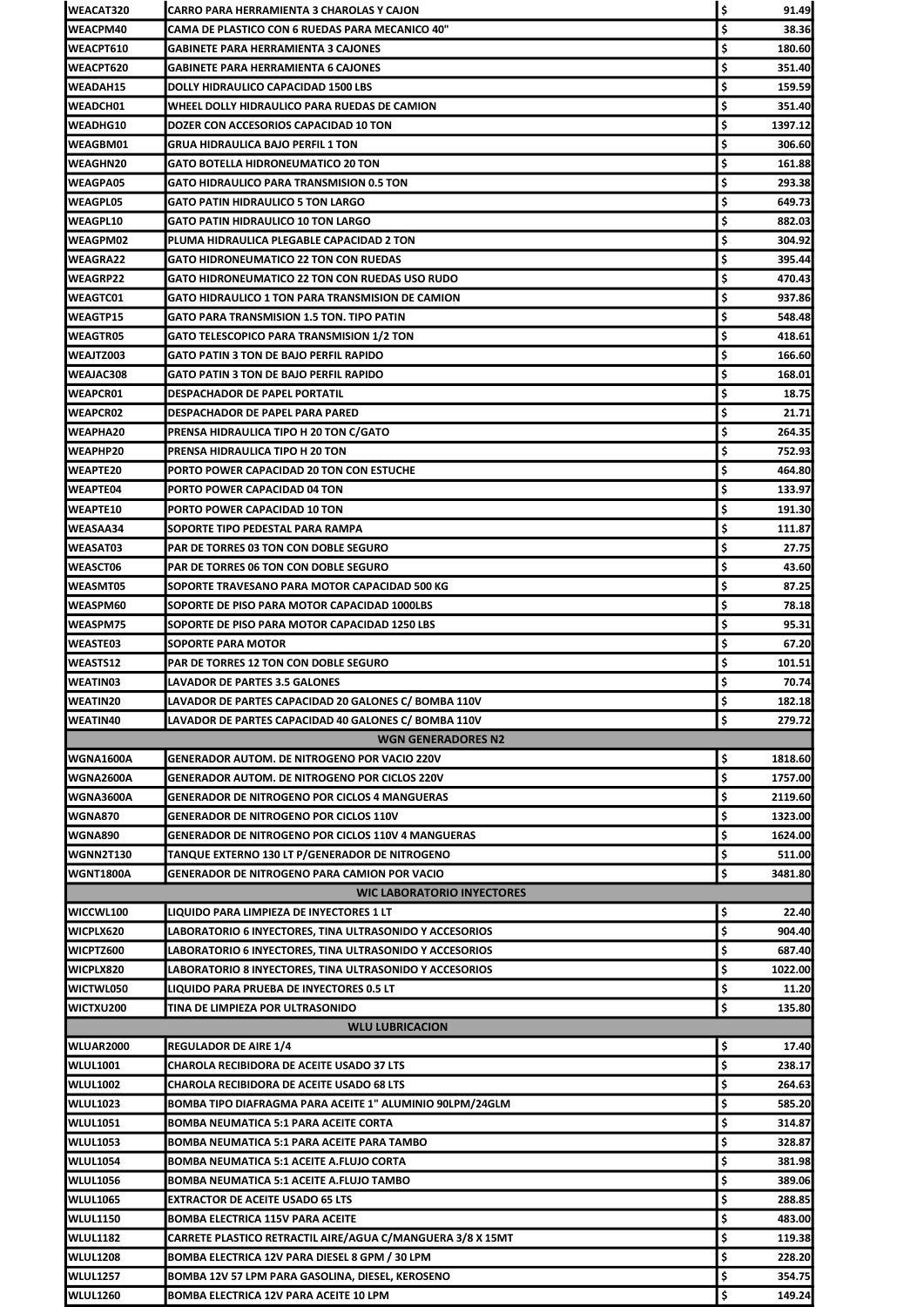| <b>WEACAT320</b> | CARRO PARA HERRAMIENTA 3 CHAROLAS Y CAJON                  | \$ | 91.49   |
|------------------|------------------------------------------------------------|----|---------|
| <b>WEACPM40</b>  | CAMA DE PLASTICO CON 6 RUEDAS PARA MECANICO 40"            | \$ | 38.36   |
| <b>WEACPT610</b> | GABINETE PARA HERRAMIENTA 3 CAJONES                        | \$ | 180.60  |
| <b>WEACPT620</b> | GABINETE PARA HERRAMIENTA 6 CAJONES                        | \$ | 351.40  |
| <b>WEADAH15</b>  | <b>DOLLY HIDRAULICO CAPACIDAD 1500 LBS</b>                 | \$ | 159.59  |
| <b>WEADCH01</b>  | WHEEL DOLLY HIDRAULICO PARA RUEDAS DE CAMION               | \$ | 351.40  |
| <b>WEADHG10</b>  | DOZER CON ACCESORIOS CAPACIDAD 10 TON                      | \$ | 1397.12 |
| <b>WEAGBM01</b>  | GRUA HIDRAULICA BAJO PERFIL 1 TON                          | \$ | 306.60  |
| <b>WEAGHN20</b>  | GATO BOTELLA HIDRONEUMATICO 20 TON                         | \$ | 161.88  |
| <b>WEAGPA05</b>  | <b>GATO HIDRAULICO PARA TRANSMISION 0.5 TON</b>            | \$ | 293.38  |
| <b>WEAGPL05</b>  | GATO PATIN HIDRAULICO 5 TON LARGO                          | \$ | 649.73  |
| WEAGPL10         | <b>GATO PATIN HIDRAULICO 10 TON LARGO</b>                  | \$ | 882.03  |
| WEAGPM02         | PLUMA HIDRAULICA PLEGABLE CAPACIDAD 2 TON                  | \$ | 304.92  |
| WEAGRA22         | GATO HIDRONEUMATICO 22 TON CON RUEDAS                      | \$ | 395.44  |
| <b>WEAGRP22</b>  | <b>GATO HIDRONEUMATICO 22 TON CON RUEDAS USO RUDO</b>      | \$ | 470.43  |
| <b>WEAGTC01</b>  | GATO HIDRAULICO 1 TON PARA TRANSMISION DE CAMION           | \$ | 937.86  |
| <b>WEAGTP15</b>  | GATO PARA TRANSMISION 1.5 TON. TIPO PATIN                  | \$ | 548.48  |
| <b>WEAGTR05</b>  | GATO TELESCOPICO PARA TRANSMISION 1/2 TON                  | \$ | 418.61  |
| <b>WEAJTZ003</b> | GATO PATIN 3 TON DE BAJO PERFIL RAPIDO                     | \$ | 166.60  |
| WEAJAC308        | GATO PATIN 3 TON DE BAJO PERFIL RAPIDO                     | \$ | 168.01  |
| <b>WEAPCR01</b>  | DESPACHADOR DE PAPEL PORTATIL                              | \$ | 18.75   |
| <b>WEAPCR02</b>  | DESPACHADOR DE PAPEL PARA PARED                            | \$ | 21.71   |
| <b>WEAPHA20</b>  | PRENSA HIDRAULICA TIPO H 20 TON C/GATO                     | \$ | 264.35  |
| WEAPHP20         | PRENSA HIDRAULICA TIPO H 20 TON                            | \$ | 752.93  |
| <b>WEAPTE20</b>  | PORTO POWER CAPACIDAD 20 TON CON ESTUCHE                   | \$ | 464.80  |
| <b>WEAPTE04</b>  | PORTO POWER CAPACIDAD 04 TON                               | \$ | 133.97  |
| <b>WEAPTE10</b>  | PORTO POWER CAPACIDAD 10 TON                               | \$ | 191.30  |
| <b>WEASAA34</b>  | SOPORTE TIPO PEDESTAL PARA RAMPA                           | \$ | 111.87  |
| WEASAT03         | PAR DE TORRES 03 TON CON DOBLE SEGURO                      | \$ | 27.75   |
| <b>IWEASCT06</b> | <b>PAR DE TORRES 06 TON CON DOBLE SEGURO</b>               | \$ | 43.60   |
| <b>WEASMT05</b>  | SOPORTE TRAVESANO PARA MOTOR CAPACIDAD 500 KG              | \$ | 87.25   |
| WEASPM60         | SOPORTE DE PISO PARA MOTOR CAPACIDAD 1000LBS               | \$ | 78.18   |
| <b>WEASPM75</b>  | SOPORTE DE PISO PARA MOTOR CAPACIDAD 1250 LBS              | \$ | 95.31   |
| <b>WEASTE03</b>  | SOPORTE PARA MOTOR                                         | \$ | 67.20   |
|                  |                                                            |    |         |
| <b>WEASTS12</b>  | PAR DE TORRES 12 TON CON DOBLE SEGURO                      | \$ | 101.51  |
| <b>WEATIN03</b>  | LAVADOR DE PARTES 3.5 GALONES                              | \$ | 70.74   |
| <b>WEATIN20</b>  | LAVADOR DE PARTES CAPACIDAD 20 GALONES C/ BOMBA 110V       | \$ | 182.18  |
| <b>WEATIN40</b>  | LAVADOR DE PARTES CAPACIDAD 40 GALONES C/ BOMBA 110V       | \$ | 279.72  |
|                  | <b>WGN GENERADORES N2</b>                                  |    |         |
| WGNA1600A        | <b>GENERADOR AUTOM. DE NITROGENO POR VACIO 220V</b>        | \$ | 1818.60 |
| WGNA2600A        | GENERADOR AUTOM. DE NITROGENO POR CICLOS 220V              | \$ | 1757.00 |
| WGNA3600A        | <b>GENERADOR DE NITROGENO POR CICLOS 4 MANGUERAS</b>       | \$ | 2119.60 |
| <b>WGNA870</b>   | <b>GENERADOR DE NITROGENO POR CICLOS 110V</b>              | \$ | 1323.00 |
| <b>WGNA890</b>   | <b>GENERADOR DE NITROGENO POR CICLOS 110V 4 MANGUERAS</b>  | \$ | 1624.00 |
| <b>WGNN2T130</b> | TANQUE EXTERNO 130 LT P/GENERADOR DE NITROGENO             | \$ | 511.00  |
| <b>WGNT1800A</b> | <b>GENERADOR DE NITROGENO PARA CAMION POR VACIO</b>        | Ś  | 3481.80 |
|                  | <b>WIC LABORATORIO INYECTORES</b>                          |    |         |
| WICCWL100        | LIQUIDO PARA LIMPIEZA DE INYECTORES 1 LT                   | \$ | 22.40   |
| WICPLX620        | LABORATORIO 6 INYECTORES, TINA ULTRASONIDO Y ACCESORIOS    | \$ | 904.40  |
| WICPTZ600        | LABORATORIO 6 INYECTORES, TINA ULTRASONIDO Y ACCESORIOS    | \$ | 687.40  |
| WICPLX820        | LABORATORIO 8 INYECTORES, TINA ULTRASONIDO Y ACCESORIOS    | \$ | 1022.00 |
| <b>WICTWL050</b> | LIQUIDO PARA PRUEBA DE INYECTORES 0.5 LT                   | \$ | 11.20   |
| <b>WICTXU200</b> | TINA DE LIMPIEZA POR ULTRASONIDO                           | \$ | 135.80  |
|                  | <b>WLU LUBRICACION</b>                                     |    |         |
| WLUAR2000        | <b>REGULADOR DE AIRE 1/4</b>                               | \$ | 17.40   |
| <b>WLUL1001</b>  | CHAROLA RECIBIDORA DE ACEITE USADO 37 LTS                  | \$ | 238.17  |
| <b>WLUL1002</b>  | CHAROLA RECIBIDORA DE ACEITE USADO 68 LTS                  | \$ | 264.63  |
| <b>WLUL1023</b>  | BOMBA TIPO DIAFRAGMA PARA ACEITE 1" ALUMINIO 90LPM/24GLM   | \$ | 585.20  |
| <b>WLUL1051</b>  | BOMBA NEUMATICA 5:1 PARA ACEITE CORTA                      | \$ | 314.87  |
| <b>WLUL1053</b>  | BOMBA NEUMATICA 5:1 PARA ACEITE PARA TAMBO                 | \$ | 328.87  |
| <b>WLUL1054</b>  | BOMBA NEUMATICA 5:1 ACEITE A.FLUJO CORTA                   | \$ | 381.98  |
| <b>WLUL1056</b>  | BOMBA NEUMATICA 5:1 ACEITE A.FLUJO TAMBO                   | \$ | 389.06  |
| <b>WLUL1065</b>  | <b>EXTRACTOR DE ACEITE USADO 65 LTS</b>                    | \$ | 288.85  |
| <b>WLUL1150</b>  | BOMBA ELECTRICA 115V PARA ACEITE                           | \$ | 483.00  |
| <b>WLUL1182</b>  | CARRETE PLASTICO RETRACTIL AIRE/AGUA C/MANGUERA 3/8 X 15MT | \$ | 119.38  |
| <b>WLUL1208</b>  | BOMBA ELECTRICA 12V PARA DIESEL 8 GPM / 30 LPM             | \$ | 228.20  |
| <b>WLUL1257</b>  | BOMBA 12V 57 LPM PARA GASOLINA, DIESEL, KEROSENO           | \$ | 354.75  |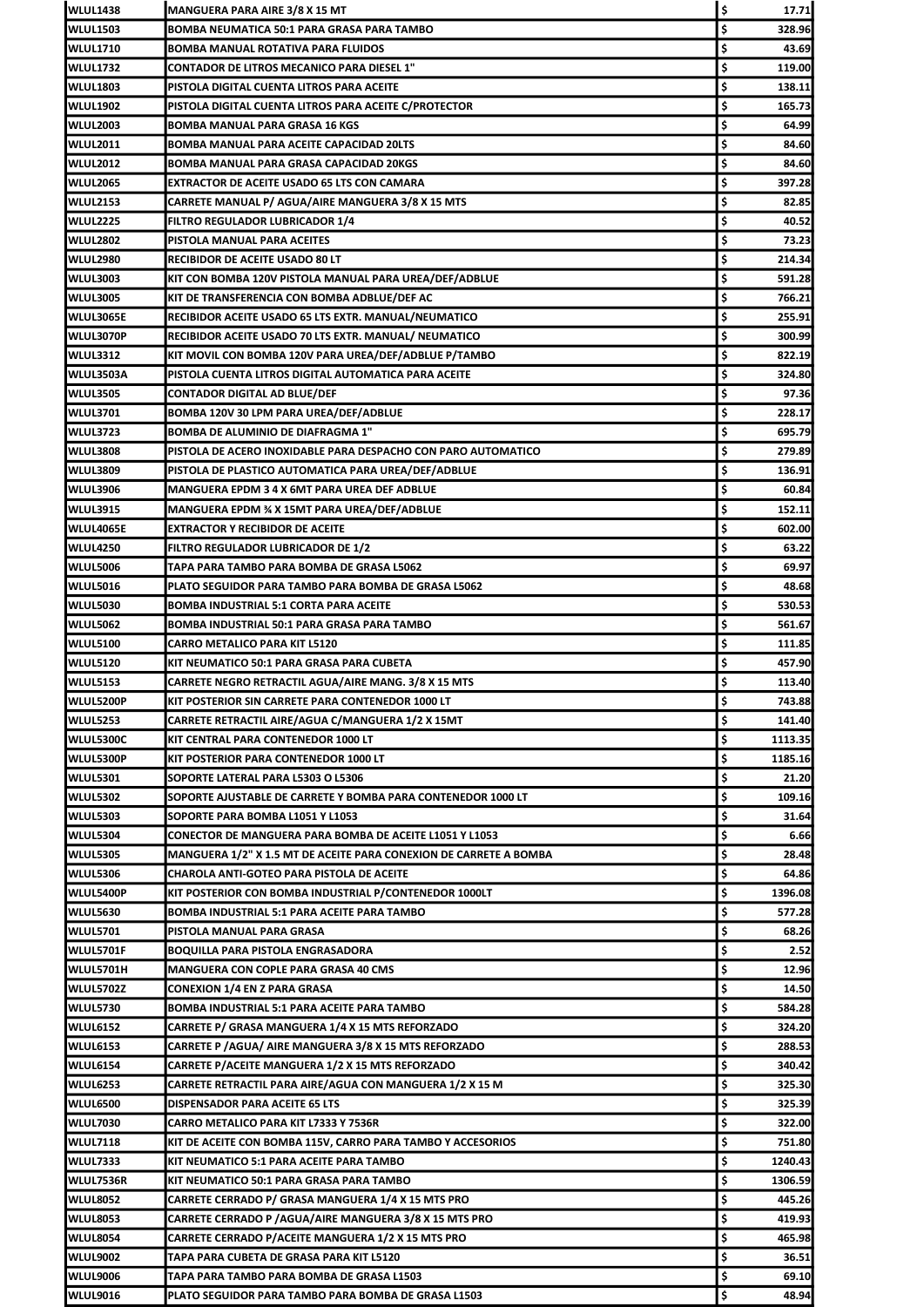| <b>WLUL1438</b>  | MANGUERA PARA AIRE 3/8 X 15 MT                                           | \$<br>17.71           |
|------------------|--------------------------------------------------------------------------|-----------------------|
| <b>WLUL1503</b>  | BOMBA NEUMATICA 50:1 PARA GRASA PARA TAMBO                               | \$<br>328.96          |
| <b>WLUL1710</b>  | BOMBA MANUAL ROTATIVA PARA FLUIDOS                                       | \$<br>43.69           |
| <b>WLUL1732</b>  | CONTADOR DE LITROS MECANICO PARA DIESEL 1"                               | \$<br>119.00          |
| <b>WLUL1803</b>  | PISTOLA DIGITAL CUENTA LITROS PARA ACEITE                                | \$<br>138.11          |
| <b>WLUL1902</b>  | PISTOLA DIGITAL CUENTA LITROS PARA ACEITE C/PROTECTOR                    | \$<br>165.73          |
| <b>WLUL2003</b>  | BOMBA MANUAL PARA GRASA 16 KGS                                           | \$<br>64.99           |
| <b>WLUL2011</b>  | BOMBA MANUAL PARA ACEITE CAPACIDAD 20LTS                                 | \$<br>84.60           |
| <b>WLUL2012</b>  | BOMBA MANUAL PARA GRASA CAPACIDAD 20KGS                                  | \$<br>84.60           |
| <b>WLUL2065</b>  | EXTRACTOR DE ACEITE USADO 65 LTS CON CAMARA                              | \$<br>397.28          |
| <b>WLUL2153</b>  | CARRETE MANUAL P/ AGUA/AIRE MANGUERA 3/8 X 15 MTS                        | \$<br>82.85           |
| <b>WLUL2225</b>  | <b>FILTRO REGULADOR LUBRICADOR 1/4</b>                                   | \$<br>40.52           |
| <b>WLUL2802</b>  | PISTOLA MANUAL PARA ACEITES                                              | \$<br>73.23           |
| <b>WLUL2980</b>  | RECIBIDOR DE ACEITE USADO 80 LT                                          | \$<br>214.34          |
| WLUL3003         | KIT CON BOMBA 120V PISTOLA MANUAL PARA UREA/DEF/ADBLUE                   | \$<br>591.28          |
| <b>WLUL3005</b>  | KIT DE TRANSFERENCIA CON BOMBA ADBLUE/DEF AC                             | \$<br>766.21          |
| WLUL3065E        | RECIBIDOR ACEITE USADO 65 LTS EXTR. MANUAL/NEUMATICO                     | \$<br>255.91          |
| WLUL3070P        | RECIBIDOR ACEITE USADO 70 LTS EXTR. MANUAL/ NEUMATICO                    | \$<br>300.99          |
| <b>WLUL3312</b>  | KIT MOVIL CON BOMBA 120V PARA UREA/DEF/ADBLUE P/TAMBO                    | \$<br>822.19          |
| WLUL3503A        | PISTOLA CUENTA LITROS DIGITAL AUTOMATICA PARA ACEITE                     | \$<br>324.80          |
| <b>WLUL3505</b>  | CONTADOR DIGITAL AD BLUE/DEF                                             | \$<br>97.36           |
| <b>WLUL3701</b>  | BOMBA 120V 30 LPM PARA UREA/DEF/ADBLUE                                   | \$<br>228.17          |
| <b>WLUL3723</b>  | BOMBA DE ALUMINIO DE DIAFRAGMA 1"                                        | \$<br>695.79          |
| <b>WLUL3808</b>  | PISTOLA DE ACERO INOXIDABLE PARA DESPACHO CON PARO AUTOMATICO            | \$<br>279.89          |
| <b>WLUL3809</b>  | PISTOLA DE PLASTICO AUTOMATICA PARA UREA/DEF/ADBLUE                      | \$<br>136.91          |
| <b>WLUL3906</b>  | MANGUERA EPDM 3 4 X 6MT PARA UREA DEF ADBLUE                             | \$<br>60.84           |
| <b>WLUL3915</b>  | MANGUERA EPDM ¾ X 15MT PARA UREA/DEF/ADBLUE                              | \$<br>152.11          |
| WLUL4065E        | <b>EXTRACTOR Y RECIBIDOR DE ACEITE</b>                                   | \$<br>602.00          |
| <b>WLUL4250</b>  | <b>FILTRO REGULADOR LUBRICADOR DE 1/2</b>                                | \$<br>63.22           |
| WLUL5006         | TAPA PARA TAMBO PARA BOMBA DE GRASA L5062                                | \$<br>69.97           |
| <b>WLUL5016</b>  | PLATO SEGUIDOR PARA TAMBO PARA BOMBA DE GRASA L5062                      | \$<br>48.68           |
| <b>WLUL5030</b>  | <b>BOMBA INDUSTRIAL 5:1 CORTA PARA ACEITE</b>                            | \$<br>530.53          |
| <b>WLUL5062</b>  | BOMBA INDUSTRIAL 50:1 PARA GRASA PARA TAMBO                              | \$<br>561.67          |
| <b>WLUL5100</b>  | CARRO METALICO PARA KIT L5120                                            | \$<br>111.85          |
|                  |                                                                          |                       |
| <b>WLUL5120</b>  | KIT NEUMATICO 50:1 PARA GRASA PARA CUBETA                                | \$<br>457.90          |
| <b>WLUL5153</b>  | CARRETE NEGRO RETRACTIL AGUA/AIRE MANG. 3/8 X 15 MTS                     | \$<br>113.40          |
| WLUL5200P        | KIT POSTERIOR SIN CARRETE PARA CONTENEDOR 1000 LT                        | \$                    |
| <b>WLUL5253</b>  | CARRETE RETRACTIL AIRE/AGUA C/MANGUERA 1/2 X 15MT                        | \$<br>141.40          |
| <b>WLUL5300C</b> | KIT CENTRAL PARA CONTENEDOR 1000 LT                                      | \$<br>1113.35         |
| WLUL5300P        | KIT POSTERIOR PARA CONTENEDOR 1000 LT                                    | \$<br>1185.16         |
| <b>WLUL5301</b>  | SOPORTE LATERAL PARA L5303 O L5306                                       | \$<br>21.20           |
| <b>WLUL5302</b>  | SOPORTE AJUSTABLE DE CARRETE Y BOMBA PARA CONTENEDOR 1000 LT             | \$<br>109.16          |
| <b>WLUL5303</b>  | SOPORTE PARA BOMBA L1051 Y L1053                                         | \$<br>31.64           |
| <b>WLUL5304</b>  | CONECTOR DE MANGUERA PARA BOMBA DE ACEITE L1051 Y L1053                  | \$<br>6.66            |
| <b>WLUL5305</b>  | <b>MANGUERA 1/2" X 1.5 MT DE ACEITE PARA CONEXION DE CARRETE A BOMBA</b> | \$<br>28.48           |
| WLUL5306         | CHAROLA ANTI-GOTEO PARA PISTOLA DE ACEITE                                | \$<br>64.86           |
| WLUL5400P        | KIT POSTERIOR CON BOMBA INDUSTRIAL P/CONTENEDOR 1000LT                   | \$<br>1396.08         |
| <b>WLUL5630</b>  | BOMBA INDUSTRIAL 5:1 PARA ACEITE PARA TAMBO                              | \$<br>577.28          |
| <b>WLUL5701</b>  | PISTOLA MANUAL PARA GRASA                                                | \$<br>743.88<br>68.26 |
| WLUL5701F        | BOQUILLA PARA PISTOLA ENGRASADORA                                        | \$<br>2.52            |
| WLUL5701H        | <b>MANGUERA CON COPLE PARA GRASA 40 CMS</b>                              | \$<br>12.96           |
| <b>WLUL5702Z</b> | CONEXION 1/4 EN Z PARA GRASA                                             | \$<br>14.50           |
| <b>WLUL5730</b>  | BOMBA INDUSTRIAL 5:1 PARA ACEITE PARA TAMBO                              | \$<br>584.28          |
| <b>WLUL6152</b>  | CARRETE P/ GRASA MANGUERA 1/4 X 15 MTS REFORZADO                         | \$<br>324.20          |
| <b>WLUL6153</b>  | CARRETE P /AGUA/ AIRE MANGUERA 3/8 X 15 MTS REFORZADO                    | \$<br>288.53          |
| <b>WLUL6154</b>  | CARRETE P/ACEITE MANGUERA 1/2 X 15 MTS REFORZADO                         | \$<br>340.42          |
| <b>WLUL6253</b>  | CARRETE RETRACTIL PARA AIRE/AGUA CON MANGUERA 1/2 X 15 M                 | \$<br>325.30          |
| <b>WLUL6500</b>  | DISPENSADOR PARA ACEITE 65 LTS                                           | \$<br>325.39          |
| <b>WLUL7030</b>  | CARRO METALICO PARA KIT L7333 Y 7536R                                    | \$<br>322.00          |
| <b>WLUL7118</b>  | KIT DE ACEITE CON BOMBA 115V, CARRO PARA TAMBO Y ACCESORIOS              | \$<br>751.80          |
| <b>WLUL7333</b>  | KIT NEUMATICO 5:1 PARA ACEITE PARA TAMBO                                 | \$<br>1240.43         |
| WLUL7536R        | KIT NEUMATICO 50:1 PARA GRASA PARA TAMBO                                 | \$<br>1306.59         |
| <b>WLUL8052</b>  | CARRETE CERRADO P/ GRASA MANGUERA 1/4 X 15 MTS PRO                       | \$<br>445.26          |
| <b>WLUL8053</b>  | CARRETE CERRADO P /AGUA/AIRE MANGUERA 3/8 X 15 MTS PRO                   | \$<br>419.93          |
| <b>WLUL8054</b>  | CARRETE CERRADO P/ACEITE MANGUERA 1/2 X 15 MTS PRO                       | \$<br>465.98          |
| <b>WLUL9002</b>  | TAPA PARA CUBETA DE GRASA PARA KIT L5120                                 | \$<br>36.51           |
| <b>WLUL9006</b>  | TAPA PARA TAMBO PARA BOMBA DE GRASA L1503                                | \$<br>69.10           |